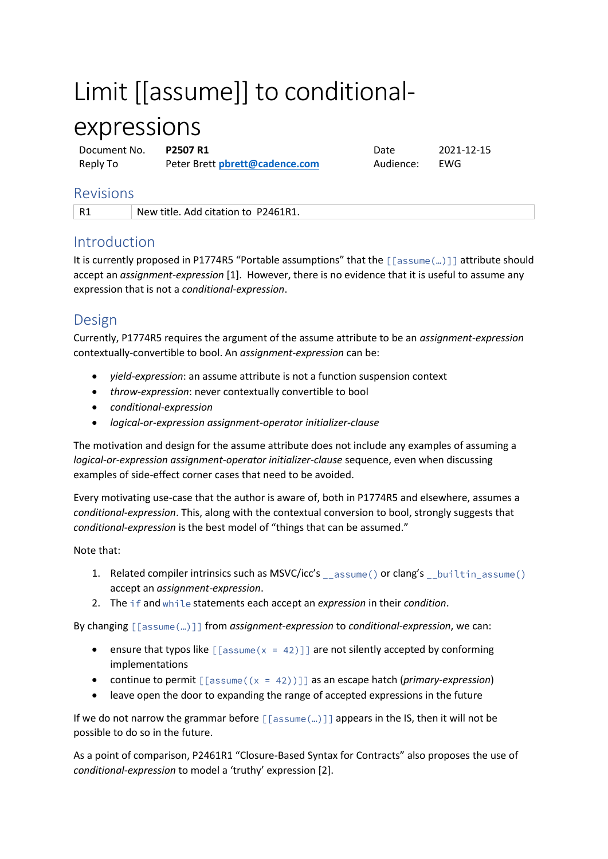# Limit [[assume]] to conditional-

## expressions

Document No. **P2507 R1** Date 2021-12-15 Reply To Peter Brett **[pbrett@cadence.com](mailto:pbrett@cadence.com?subject=Re:%20P1892R0%20Extended%20locale-specific%20presentation%20specifiers%20for%20std::format)** Audience: EWG

### Revisions

R1 New title. Add citation to P2461R1.

## Introduction

It is currently proposed in P1774R5 "Portable assumptions" that the  $\lceil \lceil \mathsf{assume}(\ldots) \rceil \rceil$  attribute should accept an *assignment-expression* [1]. However, there is no evidence that it is useful to assume any expression that is not a *conditional-expression*.

## Design

Currently, P1774R5 requires the argument of the assume attribute to be an *assignment-expression* contextually-convertible to bool. An *assignment-expression* can be:

- *yield-expression*: an assume attribute is not a function suspension context
- *throw-expression*: never contextually convertible to bool
- *conditional-expression*
- *logical-or-expression assignment-operator initializer-clause*

The motivation and design for the assume attribute does not include any examples of assuming a *logical-or-expression assignment-operator initializer-clause* sequence, even when discussing examples of side-effect corner cases that need to be avoided.

Every motivating use-case that the author is aware of, both in P1774R5 and elsewhere, assumes a *conditional-expression*. This, along with the contextual conversion to bool, strongly suggests that *conditional-expression* is the best model of "things that can be assumed."

#### Note that:

- 1. Related compiler intrinsics such as MSVC/icc's \_\_assume() or clang's \_\_builtin\_assume() accept an *assignment-expression*.
- 2. The if and while statements each accept an *expression* in their *condition*.

By changing  $\lceil$  [sssume(...)]] from *assignment-expression* to *conditional-expression*, we can:

- ensure that typos like  $\lceil \lceil \text{assume}(x = 42) \rceil \rceil$  are not silently accepted by conforming implementations
- continue to permit  $\lceil \lceil \text{assume}((x = 42)) \rceil \rceil$  as an escape hatch (*primary-expression*)
- leave open the door to expanding the range of accepted expressions in the future

If we do not narrow the grammar before  $[[\text{assume}(\ldots)]]$  appears in the IS, then it will not be possible to do so in the future.

As a point of comparison, P2461R1 "Closure-Based Syntax for Contracts" also proposes the use of *conditional-expression* to model a 'truthy' expression [2].